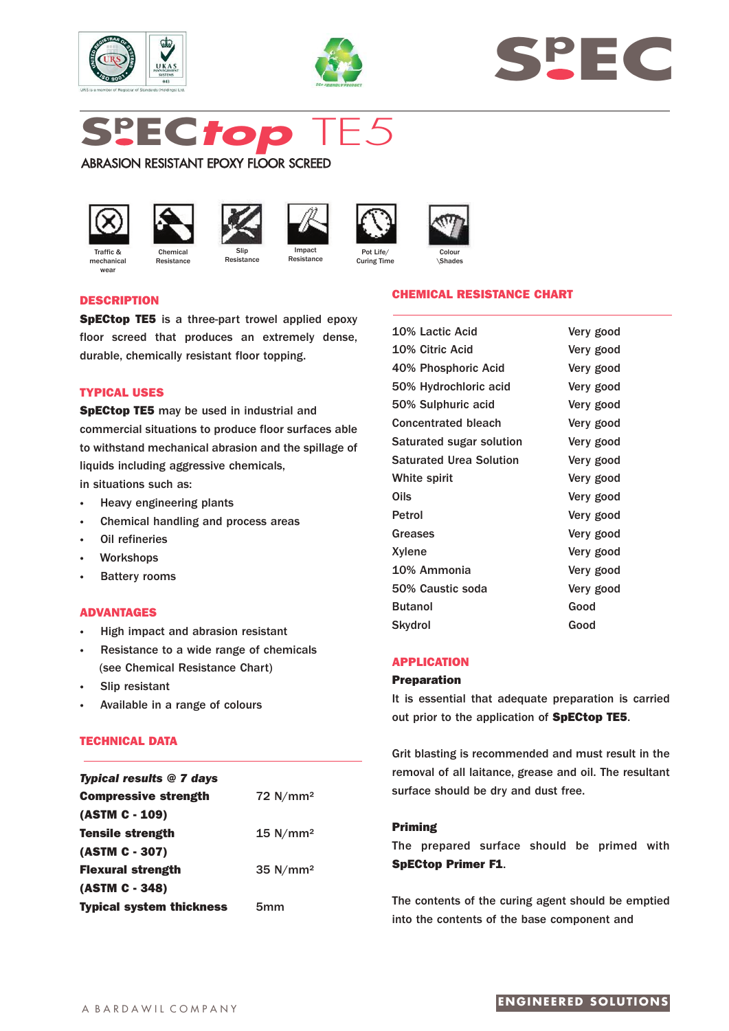





# **Sp EC***top* TE5

Resistance

ABRASION RESISTANT EPOXY FLOOR SCREED



Traffic & mechanica **Wear** 



**Resistance** 









\Shades

# **DESCRIPTION**

**SpECtop TE5** is a three-part trowel applied epoxy floor screed that produces an extremely dense, durable, chemically resistant floor topping.

# **TYPICAL USES**

**SpECtop TE5** may be used in industrial and commercial situations to produce floor surfaces able to withstand mechanical abrasion and the spillage of liquids including aggressive chemicals,

in situations such as:

- **·** Heavy engineering plants
- **·** Chemical handling and process areas
- **Oil refineries**
- **·** Workshops
- **Battery rooms**

# **ADVANTAGES**

- **·** High impact and abrasion resistant
- **·** Resistance to a wide range of chemicals (see Chemical Resistance Chart)
- **·** Slip resistant
- **·** Available in a range of colours

# **TECHNICAL DATA**

| <b>Typical results @ 7 days</b> |                        |
|---------------------------------|------------------------|
| <b>Compressive strength</b>     | $72$ N/mm <sup>2</sup> |
| (ASTM C - 109)                  |                        |
| <b>Tensile strength</b>         | 15 N/mm <sup>2</sup>   |
| (ASTM C - 307)                  |                        |
| <b>Flexural strength</b>        | $35$ N/mm <sup>2</sup> |
| (ASTM C - 348)                  |                        |
| <b>Typical system thickness</b> | 5mm                    |

## **CHEMICAL RESISTANCE CHART**

| Very good |
|-----------|
| Very good |
| Very good |
| Very good |
| Very good |
| Very good |
| Very good |
| Very good |
| Very good |
| Very good |
| Very good |
| Very good |
| Very good |
| Very good |
| Very good |
| Good      |
| Good      |
|           |

# **APPLICATION**

#### **Preparation**

It is essential that adequate preparation is carried out prior to the application of **SpECtop TE5**.

Grit blasting is recommended and must result in the removal of all laitance, grease and oil. The resultant surface should be dry and dust free.

## **Priming**

The prepared surface should be primed with **SpECtop Primer F1**.

The contents of the curing agent should be emptied into the contents of the base component and

# **ENGINEERED SOLUTIONS**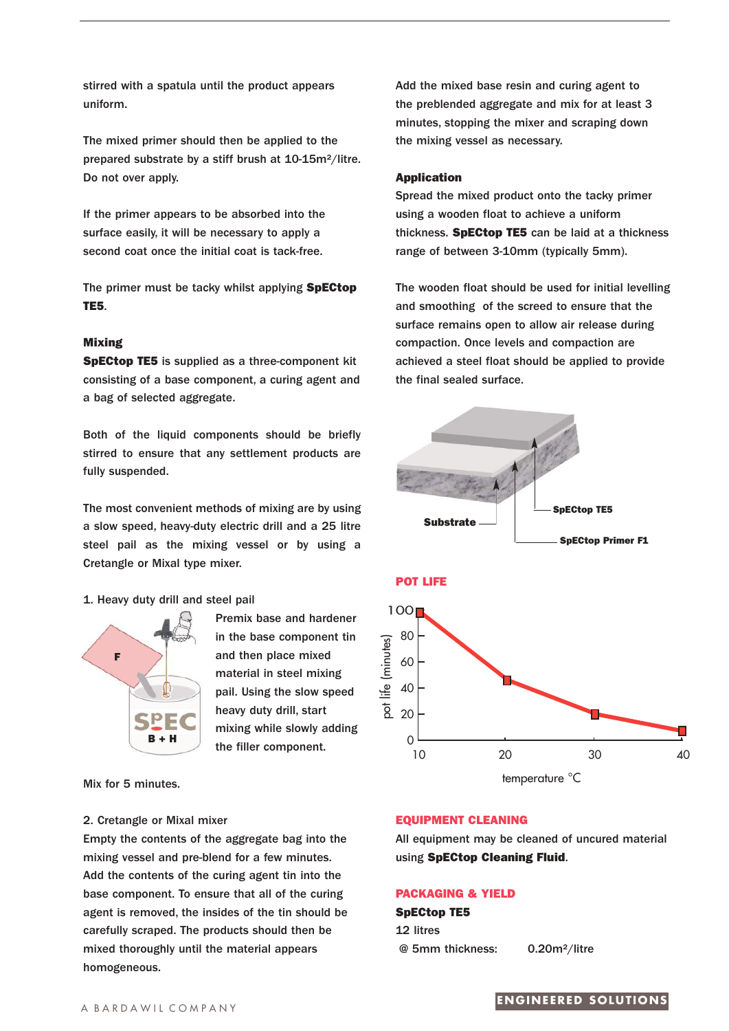stirred with a spatula until the product appears uniform.

The mixed primer should then be applied to the prepared substrate by a stiff brush at 10-15m²/litre. Do not over apply.

If the primer appears to be absorbed into the surface easily, it will be necessary to apply a second coat once the initial coat is tack-free.

The primer must be tacky whilst applying **SpECtop TE5**.

# **Mixing**

**SpECtop TE5** is supplied as a three-component kit consisting of a base component, a curing agent and a bag of selected aggregate.

Both of the liquid components should be briefly stirred to ensure that any settlement products are fully suspended.

The most convenient methods of mixing are by using a slow speed, heavy-duty electric drill and a 25 litre steel pail as the mixing vessel or by using a Cretangle or Mixal type mixer.

## 1. Heavy duty drill and steel pail



Premix base and hardener in the base component tin and then place mixed material in steel mixing pail. Using the slow speed heavy duty drill, start mixing while slowly adding the filler component.

Mix for 5 minutes.

#### 2. Cretangle or Mixal mixer

Empty the contents of the aggregate bag into the mixing vessel and pre-blend for a few minutes. Add the contents of the curing agent tin into the base component. To ensure that all of the curing agent is removed, the insides of the tin should be carefully scraped. The products should then be mixed thoroughly until the material appears homogeneous.

Add the mixed base resin and curing agent to the preblended aggregate and mix for at least 3 minutes, stopping the mixer and scraping down the mixing vessel as necessary.

#### **Application**

Spread the mixed product onto the tacky primer using a wooden float to achieve a uniform thickness. **SpECtop TE5** can be laid at a thickness range of between 3-10mm (typically 5mm).

The wooden float should be used for initial levelling and smoothing of the screed to ensure that the surface remains open to allow air release during compaction. Once levels and compaction are achieved a steel float should be applied to provide the final sealed surface.



# $\Omega$ 20 10 20 30 40

temperature °C

#### **EQUIPMENT CLEANING**

All equipment may be cleaned of uncured material using **SpECtop Cleaning Fluid**.

# **PACKAGING & YIELD**

**SpECtop TE5** 12 litres @ 5mm thickness: 0.20m²/litre

# A BARDAWIL COMPANY **ENGINEERED SOLUTIONS**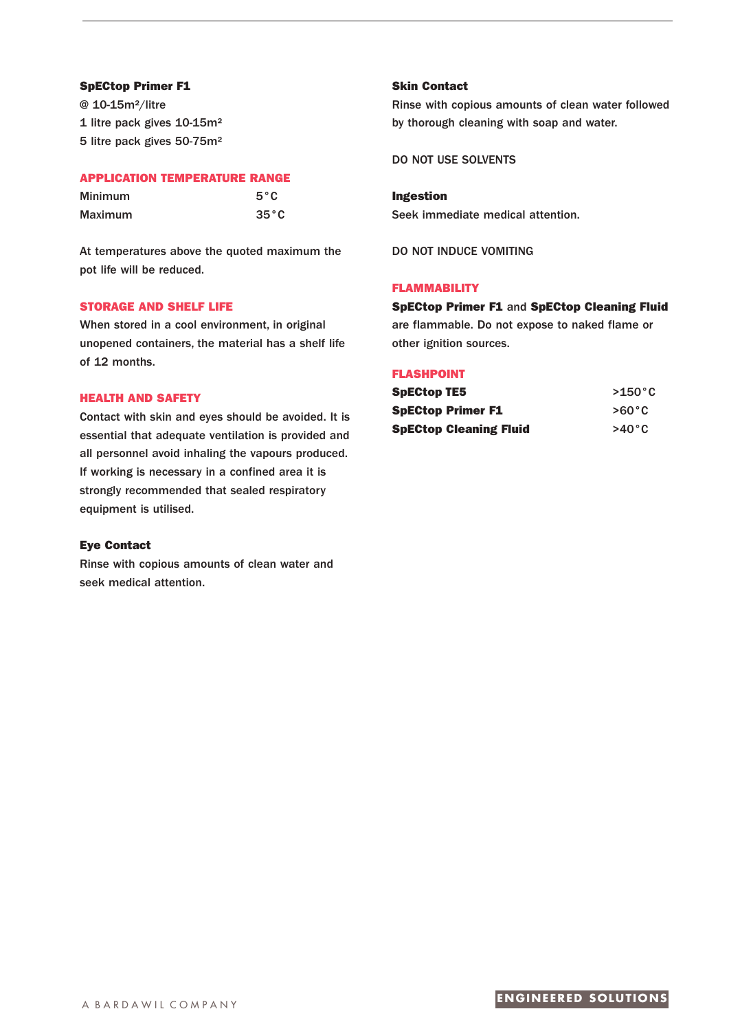# **SpECtop Primer F1**

@ 10-15m²/litre 1 litre pack gives 10-15m² 5 litre pack gives 50-75m²

# **APPLICATION TEMPERATURE RANGE**

| Minimum | $5^{\circ}$ C  |
|---------|----------------|
| Maximum | $35^{\circ}$ C |

At temperatures above the quoted maximum the pot life will be reduced.

# **STORAGE AND SHELF LIFE**

When stored in a cool environment, in original unopened containers, the material has a shelf life of 12 months.

# **HEALTH AND SAFETY**

Contact with skin and eyes should be avoided. It is essential that adequate ventilation is provided and all personnel avoid inhaling the vapours produced. If working is necessary in a confined area it is strongly recommended that sealed respiratory equipment is utilised.

# **Eye Contact**

Rinse with copious amounts of clean water and seek medical attention.

# **Skin Contact**

Rinse with copious amounts of clean water followed by thorough cleaning with soap and water.

DO NOT USE SOLVENTS

**Ingestion** Seek immediate medical attention.

DO NOT INDUCE VOMITING

# **FLAMMABILITY**

# **SpECtop Primer F1** and **SpECtop Cleaning Fluid**

are flammable. Do not expose to naked flame or other ignition sources.

## **FLASHPOINT**

| <b>SpECtop TE5</b>            | $>150^{\circ}$ C |
|-------------------------------|------------------|
| <b>SpECtop Primer F1</b>      | $>60^{\circ}$ C  |
| <b>SpECtop Cleaning Fluid</b> | $>40^{\circ}$ C  |